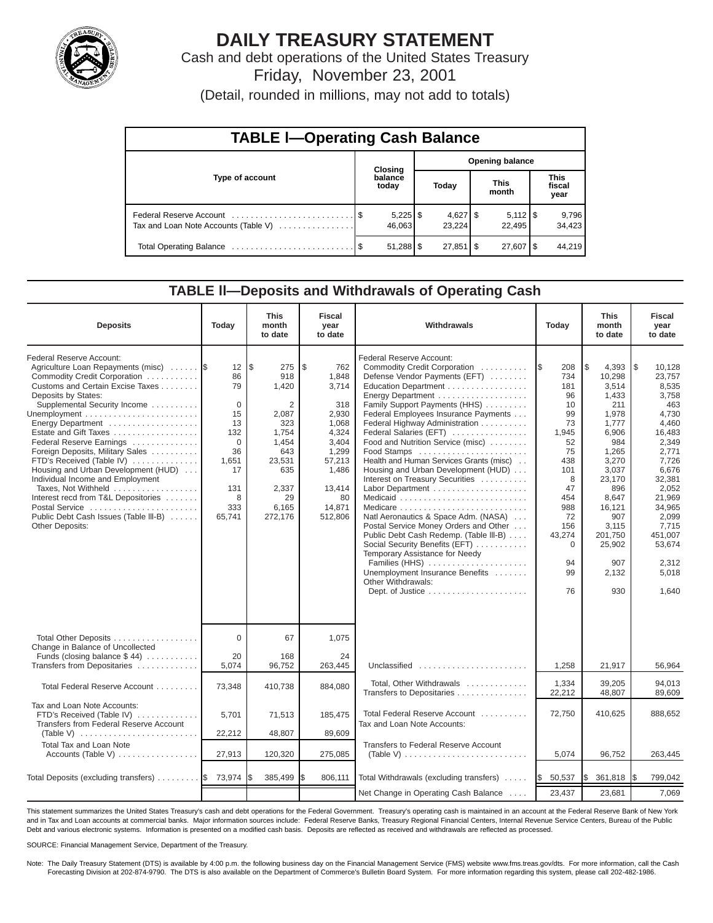

# **DAILY TREASURY STATEMENT**

Cash and debt operations of the United States Treasury Friday, November 23, 2001

(Detail, rounded in millions, may not add to totals)

| <b>TABLE I-Operating Cash Balance</b> |  |                  |                        |             |  |                              |  |                               |  |
|---------------------------------------|--|------------------|------------------------|-------------|--|------------------------------|--|-------------------------------|--|
|                                       |  | Closing          | <b>Opening balance</b> |             |  |                              |  |                               |  |
| Type of account                       |  | balance<br>today |                        | Today       |  | <b>This</b><br>month         |  | <b>This</b><br>fiscal<br>year |  |
| Tax and Loan Note Accounts (Table V)  |  | 46.063           |                        | 23.224      |  | $5,112$ $\sqrt{5}$<br>22.495 |  | 9,796<br>34,423               |  |
|                                       |  |                  |                        | $27,851$ \$ |  | $27,607$ $\frac{8}{3}$       |  | 44.219                        |  |

## **TABLE ll—Deposits and Withdrawals of Operating Cash**

| <b>Deposits</b>                                                                                                                                                                                                                                                                                                                                                                                                                                                                                                                                                    | Today                                                                                                       | <b>This</b><br>month<br>to date                                                                                                           | <b>Fiscal</b><br>year<br>to date                                                                                                        | Withdrawals                                                                                                                                                                                                                                                                                                                                                                                                                                                                                                                                                                                                                                                                                                                   | Today                                                                                                                                                             | <b>This</b><br>month<br>to date                                                                                                                                                                              | <b>Fiscal</b><br>year<br>to date                                                                                                                                                                                          |
|--------------------------------------------------------------------------------------------------------------------------------------------------------------------------------------------------------------------------------------------------------------------------------------------------------------------------------------------------------------------------------------------------------------------------------------------------------------------------------------------------------------------------------------------------------------------|-------------------------------------------------------------------------------------------------------------|-------------------------------------------------------------------------------------------------------------------------------------------|-----------------------------------------------------------------------------------------------------------------------------------------|-------------------------------------------------------------------------------------------------------------------------------------------------------------------------------------------------------------------------------------------------------------------------------------------------------------------------------------------------------------------------------------------------------------------------------------------------------------------------------------------------------------------------------------------------------------------------------------------------------------------------------------------------------------------------------------------------------------------------------|-------------------------------------------------------------------------------------------------------------------------------------------------------------------|--------------------------------------------------------------------------------------------------------------------------------------------------------------------------------------------------------------|---------------------------------------------------------------------------------------------------------------------------------------------------------------------------------------------------------------------------|
| Federal Reserve Account:<br>Agriculture Loan Repayments (misc)<br>Commodity Credit Corporation<br>Customs and Certain Excise Taxes<br>Deposits by States:<br>Supplemental Security Income<br>Energy Department<br>Estate and Gift Taxes<br>Federal Reserve Earnings<br>Foreign Deposits, Military Sales<br>FTD's Received (Table IV)<br>Housing and Urban Development (HUD)<br>Individual Income and Employment<br>Taxes, Not Withheld<br>Interest recd from T&L Depositories<br>Postal Service<br>Public Debt Cash Issues (Table III-B)<br><b>Other Deposits:</b> | 12<br>86<br>79<br>$\Omega$<br>15<br>13<br>132<br>$\Omega$<br>36<br>1,651<br>17<br>131<br>8<br>333<br>65,741 | l\$<br>275<br>918<br>1,420<br>$\overline{2}$<br>2,087<br>323<br>1,754<br>1,454<br>643<br>23,531<br>635<br>2,337<br>29<br>6,165<br>272,176 | \$<br>762<br>1,848<br>3.714<br>318<br>2,930<br>1.068<br>4.324<br>3,404<br>1,299<br>57,213<br>1,486<br>13,414<br>80<br>14,871<br>512,806 | Federal Reserve Account:<br>Commodity Credit Corporation<br>Defense Vendor Payments (EFT)<br>Education Department<br>Family Support Payments (HHS)<br>Federal Employees Insurance Payments<br>Federal Highway Administration<br>Federal Salaries (EFT)<br>Food and Nutrition Service (misc)<br>Food Stamps<br>Health and Human Services Grants (misc)<br>Housing and Urban Development (HUD)<br>Interest on Treasury Securities<br>Labor Department<br>Natl Aeronautics & Space Adm. (NASA)<br>Postal Service Money Orders and Other<br>Public Debt Cash Redemp. (Table III-B)<br>Social Security Benefits (EFT)<br>Temporary Assistance for Needy<br>Families (HHS)<br>Unemployment Insurance Benefits<br>Other Withdrawals: | 208<br>I\$<br>734<br>181<br>96<br>10<br>99<br>73<br>1,945<br>52<br>75<br>438<br>101<br>8<br>47<br>454<br>988<br>72<br>156<br>43,274<br>$\Omega$<br>94<br>99<br>76 | l\$<br>4,393<br>10,298<br>3.514<br>1,433<br>211<br>1,978<br>1,777<br>6.906<br>984<br>1,265<br>3,270<br>3,037<br>23,170<br>896<br>8.647<br>16,121<br>907<br>3,115<br>201,750<br>25,902<br>907<br>2,132<br>930 | 1\$<br>10,128<br>23,757<br>8,535<br>3,758<br>463<br>4,730<br>4,460<br>16,483<br>2,349<br>2,771<br>7,726<br>6,676<br>32,381<br>2,052<br>21,969<br>34,965<br>2,099<br>7,715<br>451,007<br>53,674<br>2,312<br>5,018<br>1,640 |
| Total Other Deposits<br>Change in Balance of Uncollected                                                                                                                                                                                                                                                                                                                                                                                                                                                                                                           | 0                                                                                                           | 67                                                                                                                                        | 1,075                                                                                                                                   |                                                                                                                                                                                                                                                                                                                                                                                                                                                                                                                                                                                                                                                                                                                               |                                                                                                                                                                   |                                                                                                                                                                                                              |                                                                                                                                                                                                                           |
| Funds (closing balance $$44$ )<br>Transfers from Depositaries                                                                                                                                                                                                                                                                                                                                                                                                                                                                                                      | 20<br>5,074                                                                                                 | 168<br>96,752                                                                                                                             | 24<br>263,445                                                                                                                           | Unclassified                                                                                                                                                                                                                                                                                                                                                                                                                                                                                                                                                                                                                                                                                                                  | 1,258                                                                                                                                                             | 21,917                                                                                                                                                                                                       | 56,964                                                                                                                                                                                                                    |
| Total Federal Reserve Account                                                                                                                                                                                                                                                                                                                                                                                                                                                                                                                                      | 73,348                                                                                                      | 410,738                                                                                                                                   | 884,080                                                                                                                                 | Total, Other Withdrawals<br>Transfers to Depositaries                                                                                                                                                                                                                                                                                                                                                                                                                                                                                                                                                                                                                                                                         | 1,334<br>22,212                                                                                                                                                   | 39.205<br>48,807                                                                                                                                                                                             | 94.013<br>89,609                                                                                                                                                                                                          |
| Tax and Loan Note Accounts:<br>FTD's Received (Table IV)<br>Transfers from Federal Reserve Account<br>(Table V) $\ldots \ldots \ldots \ldots \ldots \ldots \ldots \ldots$                                                                                                                                                                                                                                                                                                                                                                                          | 5,701<br>22,212                                                                                             | 71,513<br>48,807                                                                                                                          | 185,475<br>89,609                                                                                                                       | Total Federal Reserve Account<br>Tax and Loan Note Accounts:                                                                                                                                                                                                                                                                                                                                                                                                                                                                                                                                                                                                                                                                  | 72,750                                                                                                                                                            | 410,625                                                                                                                                                                                                      | 888,652                                                                                                                                                                                                                   |
| <b>Total Tax and Loan Note</b><br>Accounts (Table V)                                                                                                                                                                                                                                                                                                                                                                                                                                                                                                               | 27,913                                                                                                      | 120,320                                                                                                                                   | 275,085                                                                                                                                 | Transfers to Federal Reserve Account<br>(Table V) $\ldots \ldots \ldots \ldots \ldots \ldots \ldots \ldots$                                                                                                                                                                                                                                                                                                                                                                                                                                                                                                                                                                                                                   | 5,074                                                                                                                                                             | 96,752                                                                                                                                                                                                       | 263,445                                                                                                                                                                                                                   |
| Total Deposits (excluding transfers)  \$73,974                                                                                                                                                                                                                                                                                                                                                                                                                                                                                                                     |                                                                                                             | 385,499                                                                                                                                   | 806,111                                                                                                                                 | Total Withdrawals (excluding transfers)                                                                                                                                                                                                                                                                                                                                                                                                                                                                                                                                                                                                                                                                                       | 50,537<br><b>S</b>                                                                                                                                                | Ι\$<br>361,818                                                                                                                                                                                               | 799,042<br>1\$                                                                                                                                                                                                            |
|                                                                                                                                                                                                                                                                                                                                                                                                                                                                                                                                                                    |                                                                                                             |                                                                                                                                           |                                                                                                                                         | Net Change in Operating Cash Balance                                                                                                                                                                                                                                                                                                                                                                                                                                                                                                                                                                                                                                                                                          | 23,437                                                                                                                                                            | 23,681                                                                                                                                                                                                       | 7,069                                                                                                                                                                                                                     |

This statement summarizes the United States Treasury's cash and debt operations for the Federal Government. Treasury's operating cash is maintained in an account at the Federal Reserve Bank of New York and in Tax and Loan accounts at commercial banks. Major information sources include: Federal Reserve Banks, Treasury Regional Financial Centers, Internal Revenue Service Centers, Bureau of the Public Debt and various electronic systems. Information is presented on a modified cash basis. Deposits are reflected as received and withdrawals are reflected as processed.

SOURCE: Financial Management Service, Department of the Treasury.

Note: The Daily Treasury Statement (DTS) is available by 4:00 p.m. the following business day on the Financial Management Service (FMS) website www.fms.treas.gov/dts. For more information, call the Cash Forecasting Division at 202-874-9790. The DTS is also available on the Department of Commerce's Bulletin Board System. For more information regarding this system, please call 202-482-1986.